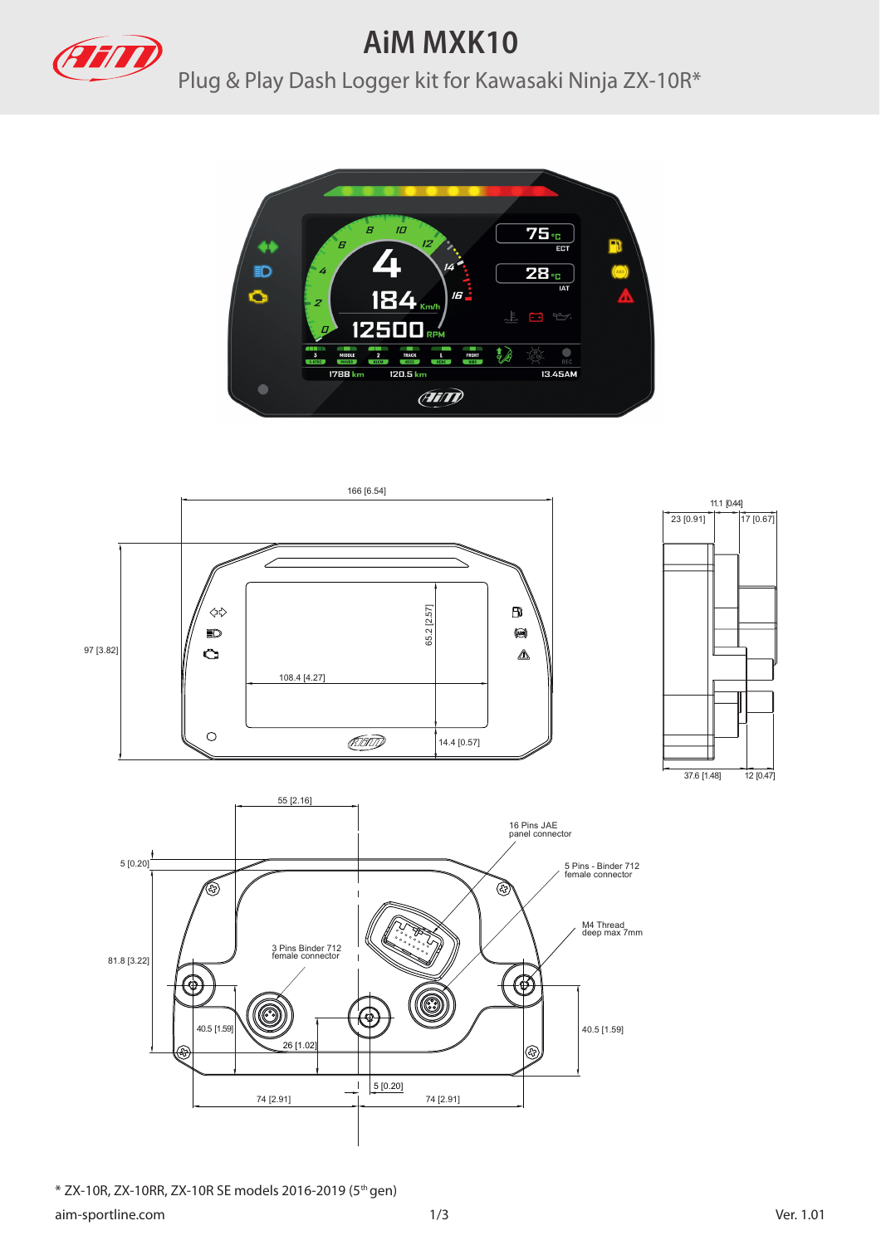

## **AiM MXK10**

Plug & Play Dash Logger kit for Kawasaki Ninja ZX-10R\*





\* ZX-10R, ZX-10RR, ZX-10R SE models 2016-2019 (5th gen)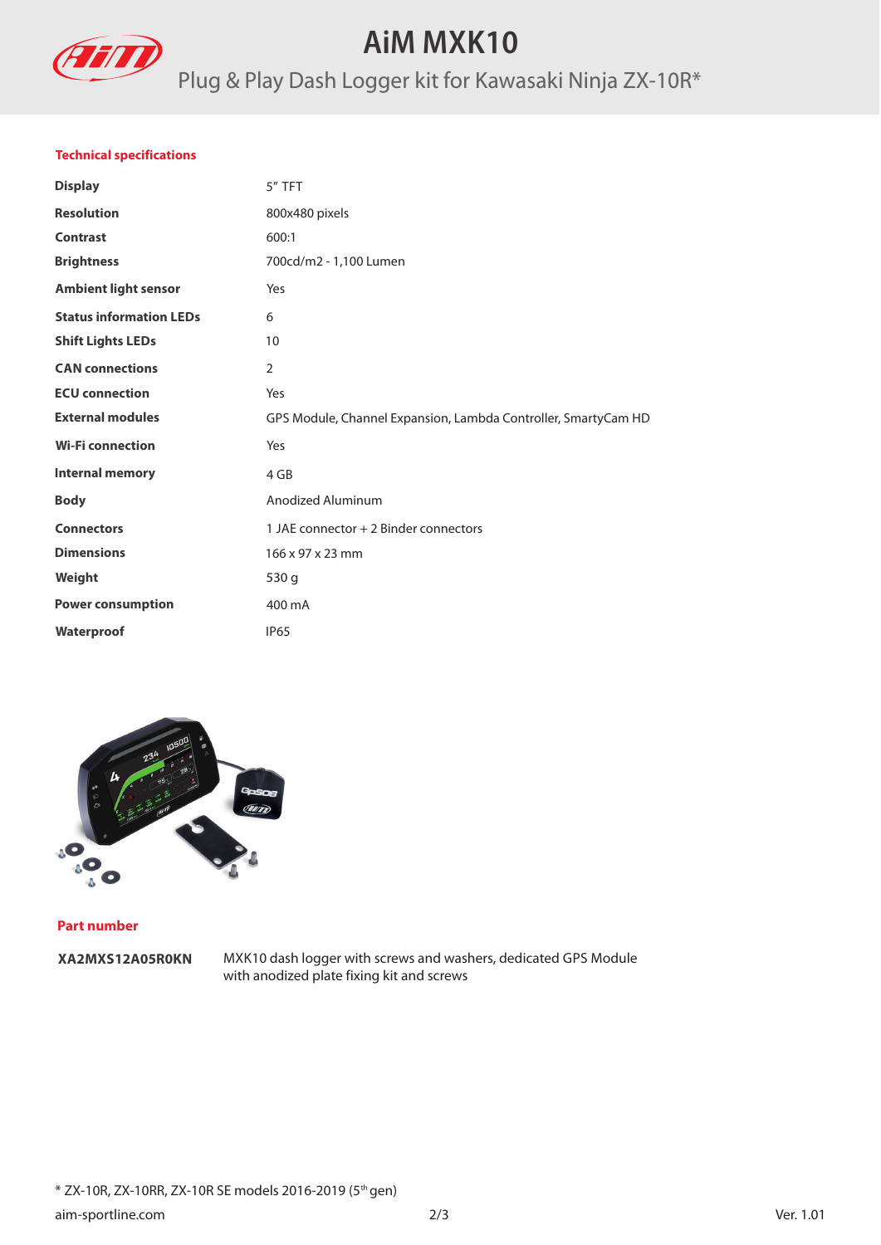

## **AiM MXK10**

# Plug & Play Dash Logger kit for Kawasaki Ninja ZX-10R\*

### **Technical specifications**

| <b>Display</b>                 | 5" TFT                                                         |
|--------------------------------|----------------------------------------------------------------|
| <b>Resolution</b>              | 800x480 pixels                                                 |
| <b>Contrast</b>                | 600:1                                                          |
| <b>Brightness</b>              | 700cd/m2 - 1,100 Lumen                                         |
| <b>Ambient light sensor</b>    | Yes                                                            |
| <b>Status information LEDs</b> | 6                                                              |
| <b>Shift Lights LEDs</b>       | 10                                                             |
| <b>CAN</b> connections         | $\overline{2}$                                                 |
| <b>ECU</b> connection          | Yes                                                            |
| <b>External modules</b>        | GPS Module, Channel Expansion, Lambda Controller, SmartyCam HD |
| <b>Wi-Fi connection</b>        | Yes                                                            |
| <b>Internal memory</b>         | 4 GB                                                           |
| <b>Body</b>                    | Anodized Aluminum                                              |
| <b>Connectors</b>              | 1 JAE connector + 2 Binder connectors                          |
| <b>Dimensions</b>              | 166 x 97 x 23 mm                                               |
| Weight                         | 530 g                                                          |
| <b>Power consumption</b>       | 400 mA                                                         |
| Waterproof                     | <b>IP65</b>                                                    |
|                                |                                                                |



#### **Part number**

**XA2MXS12A05R0KN** 

MXK10 dash logger with screws and washers, dedicated GPS Module with anodized plate fixing kit and screws